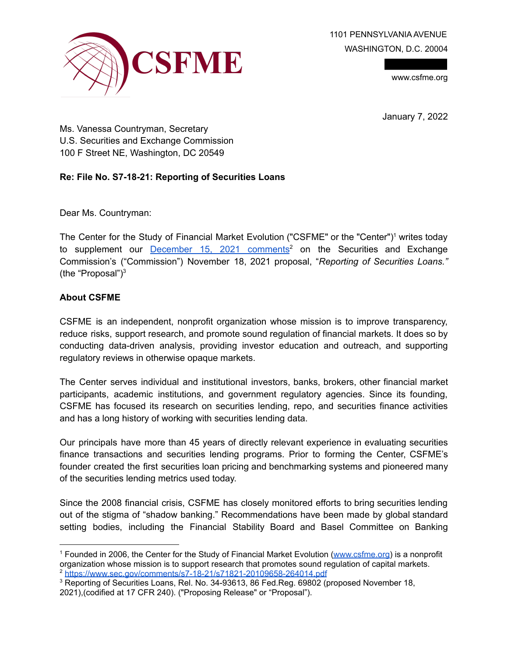1101 PENNSYLVANIA AVENUE WASHINGTON, D.C. 20004



www.csfme.org

January 7, 2022

Ms. Vanessa Countryman, Secretary U.S. Securities and Exchange Commission 100 F Street NE, Washington, DC 20549

## **Re: File No. S7-18-21: Reporting of Securities Loans**

Dear Ms. Countryman:

The Center for the Study of Financial Market Evolution ("CSFME" or the "Center")<sup>1</sup> writes today to supplement our **December 15, 2021 comments<sup>2</sup>** on the Securities and Exchange Commission's ("Commission") November 18, 2021 proposal, "*Reporting of Securities Loans."* (the "Proposal") $3$ 

## **About CSFME**

CSFME is an independent, nonprofit organization whose mission is to improve transparency, reduce risks, support research, and promote sound regulation of financial markets. It does so by conducting data-driven analysis, providing investor education and outreach, and supporting regulatory reviews in otherwise opaque markets.

The Center serves individual and institutional investors, banks, brokers, other financial market participants, academic institutions, and government regulatory agencies. Since its founding, CSFME has focused its research on securities lending, repo, and securities finance activities and has a long history of working with securities lending data.

Our principals have more than 45 years of directly relevant experience in evaluating securities finance transactions and securities lending programs. Prior to forming the Center, CSFME's founder created the first securities loan pricing and benchmarking systems and pioneered many of the securities lending metrics used today.

Since the 2008 financial crisis, CSFME has closely monitored efforts to bring securities lending out of the stigma of "shadow banking." Recommendations have been made by global standard setting bodies, including the Financial Stability Board and Basel Committee on Banking

<sup>2</sup> https://www.sec.gov/comments/s7-18-21/s71821-20109658-264014.pdf <sup>1</sup> Founded in 2006, the Center for the Study of Financial Market Evolution (www.csfme.org) is a nonprofit organization whose mission is to support research that promotes sound regulation of capital markets.

<sup>&</sup>lt;sup>3</sup> Reporting of Securities Loans, Rel. No. 34-93613, 86 Fed.Reg. 69802 (proposed November 18, 2021),(codified at 17 CFR 240). ("Proposing Release" or "Proposal").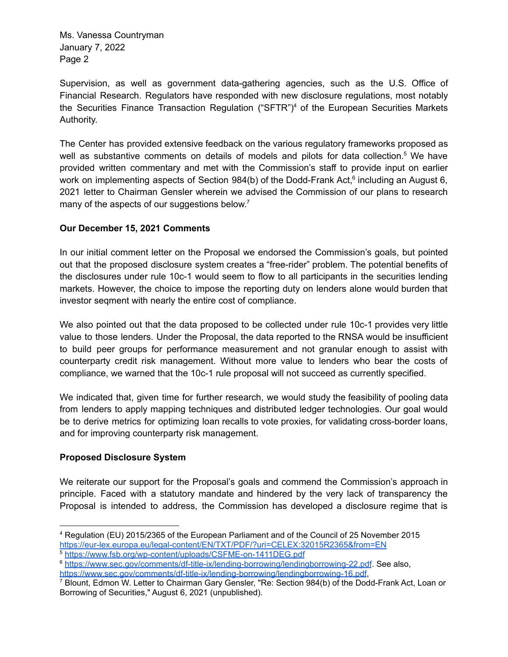Supervision, as well as government data-gathering agencies, such as the U.S. Office of Financial Research. Regulators have responded with new disclosure regulations, most notably the Securities Finance Transaction Regulation ("SFTR")<sup>4</sup> of the European Securities Markets Authority.

The Center has provided extensive feedback on the various regulatory frameworks proposed as well as substantive comments on details of models and pilots for data collection.<sup>5</sup> We have provided written commentary and met with the Commission's staff to provide input on earlier work on implementing aspects of Section 984(b) of the Dodd-Frank Act,<sup>6</sup> including an August 6, 2021 letter to Chairman Gensler wherein we advised the Commission of our plans to research many of the aspects of our suggestions below.<sup>7</sup>

## **Our December 15, 2021 Comments**

In our initial comment letter on the Proposal we endorsed the Commission's goals, but pointed out that the proposed disclosure system creates a "free-rider" problem. The potential benefits of the disclosures under rule 10c-1 would seem to flow to all participants in the securities lending markets. However, the choice to impose the reporting duty on lenders alone would burden that investor seqment with nearly the entire cost of compliance.

We also pointed out that the data proposed to be collected under rule 10c-1 provides very little value to those lenders. Under the Proposal, the data reported to the RNSA would be insufficient to build peer groups for performance measurement and not granular enough to assist with counterparty credit risk management. Without more value to lenders who bear the costs of compliance, we warned that the 10c-1 rule proposal will not succeed as currently specified.

We indicated that, given time for further research, we would study the feasibility of pooling data from lenders to apply mapping techniques and distributed ledger technologies. Our goal would be to derive metrics for optimizing loan recalls to vote proxies, for validating cross-border loans, and for improving counterparty risk management.

## **Proposed Disclosure System**

We reiterate our support for the Proposal's goals and commend the Commission's approach in principle. Faced with a statutory mandate and hindered by the very lack of transparency the Proposal is intended to address, the Commission has developed a disclosure regime that is

<sup>4</sup> Regulation (EU) 2015/2365 of the European Parliament and of the Council of 25 November 2015 https://eur-lex.europa.eu/legal-content/EN/TXT/PDF/?uri=CELEX:32015R2365&from=EN

<sup>5</sup> https://www.fsb.org/wp-content/uploads/CSFME-on-1411DEG.pdf

<sup>6</sup> https://www.sec.gov/comments/df-title-ix/lending-borrowing/lendingborrowing-22.pdf. See also, https://www.sec.gov/comments/df-title-ix/lending-borrowing/lendingborrowing-16.pdf,

<sup>7</sup> Blount, Edmon W. Letter to Chairman Gary Gensler, "Re: Section 984(b) of the Dodd-Frank Act, Loan or Borrowing of Securities," August 6, 2021 (unpublished).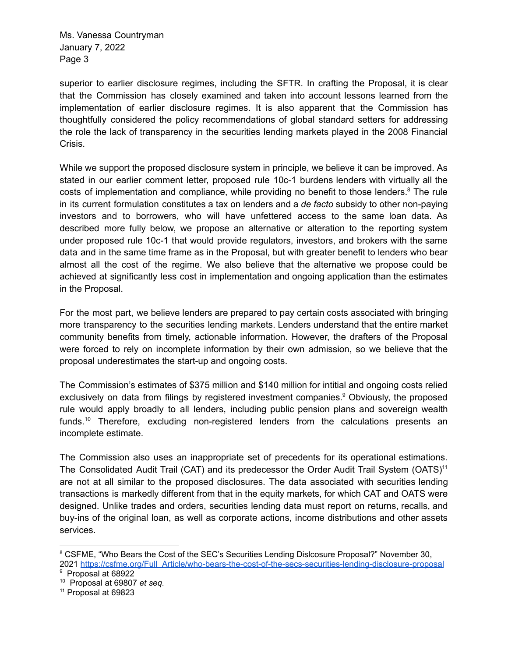superior to earlier disclosure regimes, including the SFTR. In crafting the Proposal, it is clear that the Commission has closely examined and taken into account lessons learned from the implementation of earlier disclosure regimes. It is also apparent that the Commission has thoughtfully considered the policy recommendations of global standard setters for addressing the role the lack of transparency in the securities lending markets played in the 2008 Financial Crisis.

While we support the proposed disclosure system in principle, we believe it can be improved. As stated in our earlier comment letter, proposed rule 10c-1 burdens lenders with virtually all the costs of implementation and compliance, while providing no benefit to those lenders. $8$  The rule in its current formulation constitutes a tax on lenders and a *de facto* subsidy to other non-paying investors and to borrowers, who will have unfettered access to the same loan data. As described more fully below, we propose an alternative or alteration to the reporting system under proposed rule 10c-1 that would provide regulators, investors, and brokers with the same data and in the same time frame as in the Proposal, but with greater benefit to lenders who bear almost all the cost of the regime. We also believe that the alternative we propose could be achieved at significantly less cost in implementation and ongoing application than the estimates in the Proposal.

For the most part, we believe lenders are prepared to pay certain costs associated with bringing more transparency to the securities lending markets. Lenders understand that the entire market community benefits from timely, actionable information. However, the drafters of the Proposal were forced to rely on incomplete information by their own admission, so we believe that the proposal underestimates the start-up and ongoing costs.

The Commission's estimates of \$375 million and \$140 million for intitial and ongoing costs relied exclusively on data from filings by registered investment companies.<sup>9</sup> Obviously, the proposed rule would apply broadly to all lenders, including public pension plans and sovereign wealth funds.<sup>10</sup> Therefore, excluding non-registered lenders from the calculations presents an incomplete estimate.

The Commission also uses an inappropriate set of precedents for its operational estimations. The Consolidated Audit Trail (CAT) and its predecessor the Order Audit Trail System (OATS)<sup>11</sup> are not at all similar to the proposed disclosures. The data associated with securities lending transactions is markedly different from that in the equity markets, for which CAT and OATS were designed. Unlike trades and orders, securities lending data must report on returns, recalls, and buy-ins of the original loan, as well as corporate actions, income distributions and other assets services.

<sup>&</sup>lt;sup>8</sup> CSFME, "Who Bears the Cost of the SEC's Securities Lending Dislcosure Proposal?" November 30, 2021 https://csfme.org/Full Article/who-bears-the-cost-of-the-secs-securities-lending-disclosure-proposal

<sup>&</sup>lt;sup>9</sup> Proposal at 68922

<sup>10</sup> Proposal at 69807 *et seq.*

<sup>11</sup> Proposal at 69823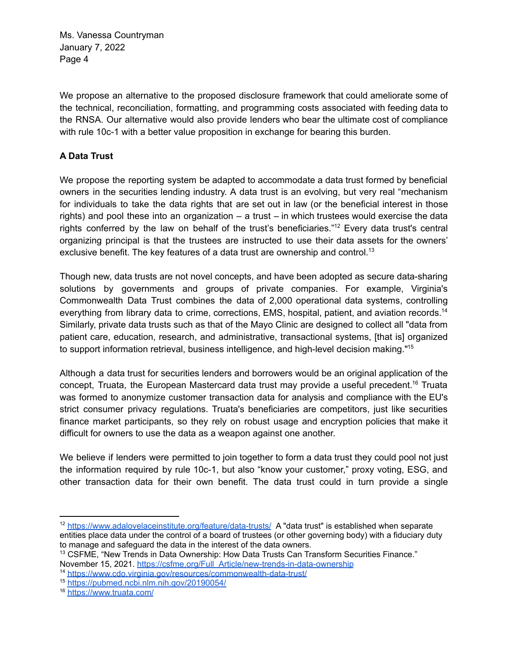We propose an alternative to the proposed disclosure framework that could ameliorate some of the technical, reconciliation, formatting, and programming costs associated with feeding data to the RNSA. Our alternative would also provide lenders who bear the ultimate cost of compliance with rule 10c-1 with a better value proposition in exchange for bearing this burden.

# **A Data Trust**

We propose the reporting system be adapted to accommodate a data trust formed by beneficial owners in the securities lending industry. A data trust is an evolving, but very real "mechanism for individuals to take the data rights that are set out in law (or the beneficial interest in those rights) and pool these into an organization – a trust – in which trustees would exercise the data rights conferred by the law on behalf of the trust's beneficiaries."<sup>12</sup> Every data trust's central organizing principal is that the trustees are instructed to use their data assets for the owners' exclusive benefit. The key features of a data trust are ownership and control.<sup>13</sup>

Though new, data trusts are not novel concepts, and have been adopted as secure data-sharing solutions by governments and groups of private companies. For example, Virginia's Commonwealth Data Trust combines the data of 2,000 operational data systems, controlling everything from library data to crime, corrections, EMS, hospital, patient, and aviation records.<sup>14</sup> Similarly, private data trusts such as that of the Mayo Clinic are designed to collect all "data from patient care, education, research, and administrative, transactional systems, [that is] organized to support information retrieval, business intelligence, and high-level decision making."<sup>15</sup>

Although a data trust for securities lenders and borrowers would be an original application of the concept, Truata, the European Mastercard data trust may provide a useful precedent.<sup>16</sup> Truata was formed to anonymize customer transaction data for analysis and compliance with the EU's strict consumer privacy regulations. Truata's beneficiaries are competitors, just like securities finance market participants, so they rely on robust usage and encryption policies that make it difficult for owners to use the data as a weapon against one another.

We believe if lenders were permitted to join together to form a data trust they could pool not just the information required by rule 10c-1, but also "know your customer," proxy voting, ESG, and other transaction data for their own benefit. The data trust could in turn provide a single

<sup>&</sup>lt;sup>12</sup> https://www.adalovelaceinstitute.org/feature/data-trusts/ A "data trust" is established when separate entities place data under the control of a board of trustees (or other governing body) with a fiduciary duty to manage and safeguard the data in the interest of the data owners.

<sup>&</sup>lt;sup>13</sup> CSFME, "New Trends in Data Ownership: How Data Trusts Can Transform Securities Finance." November 15, 2021. https://csfme.org/Full Article/new-trends-in-data-ownership

<sup>14</sup> https://www.cdo.virginia.gov/resources/commonwealth-data-trust/

<sup>15</sup> https://pubmed.ncbi.nlm.nih.gov/20190054/

<sup>16</sup> https://www.truata.com/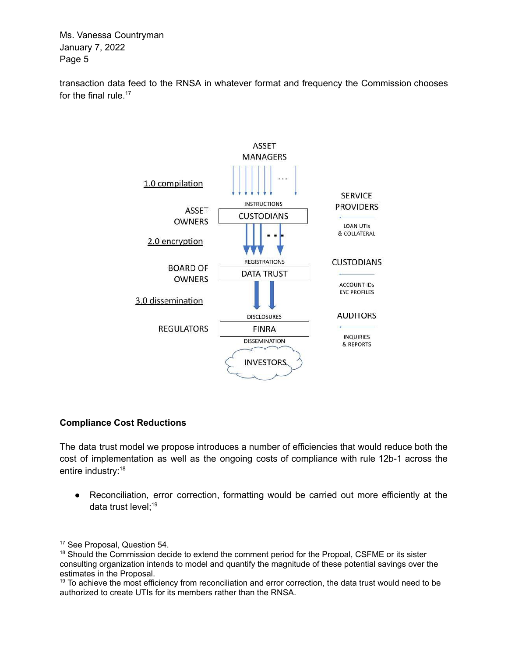transaction data feed to the RNSA in whatever format and frequency the Commission chooses for the final rule.<sup>17</sup>



## **Compliance Cost Reductions**

The data trust model we propose introduces a number of efficiencies that would reduce both the cost of implementation as well as the ongoing costs of compliance with rule 12b-1 across the entire industry:<sup>18</sup>

● Reconciliation, error correction, formatting would be carried out more efficiently at the data trust level;<sup>19</sup>

<sup>&</sup>lt;sup>17</sup> See Proposal, Question 54.

<sup>&</sup>lt;sup>18</sup> Should the Commission decide to extend the comment period for the Propoal, CSFME or its sister consulting organization intends to model and quantify the magnitude of these potential savings over the estimates in the Proposal.

<sup>&</sup>lt;sup>19</sup> To achieve the most efficiency from reconciliation and error correction, the data trust would need to be authorized to create UTIs for its members rather than the RNSA.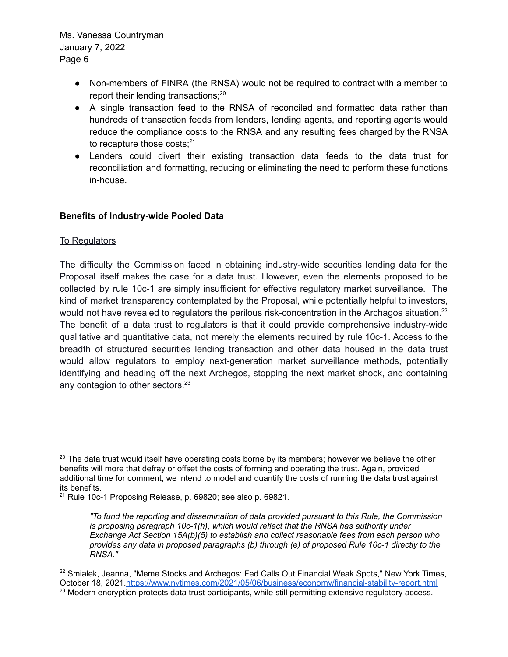- Non-members of FINRA (the RNSA) would not be required to contract with a member to report their lending transactions;<sup>20</sup>
- A single transaction feed to the RNSA of reconciled and formatted data rather than hundreds of transaction feeds from lenders, lending agents, and reporting agents would reduce the compliance costs to the RNSA and any resulting fees charged by the RNSA to recapture those costs; $21$
- Lenders could divert their existing transaction data feeds to the data trust for reconciliation and formatting, reducing or eliminating the need to perform these functions in-house.

#### **Benefits of Industry-wide Pooled Data**

#### To Regulators

The difficulty the Commission faced in obtaining industry-wide securities lending data for the Proposal itself makes the case for a data trust. However, even the elements proposed to be collected by rule 10c-1 are simply insufficient for effective regulatory market surveillance. The kind of market transparency contemplated by the Proposal, while potentially helpful to investors, would not have revealed to regulators the perilous risk-concentration in the Archagos situation.<sup>22</sup> The benefit of a data trust to regulators is that it could provide comprehensive industry-wide qualitative and quantitative data, not merely the elements required by rule 10c-1. Access to the breadth of structured securities lending transaction and other data housed in the data trust would allow regulators to employ next-generation market surveillance methods, potentially identifying and heading off the next Archegos, stopping the next market shock, and containing any contagion to other sectors.<sup>23</sup>

 $20$  The data trust would itself have operating costs borne by its members; however we believe the other benefits will more that defray or offset the costs of forming and operating the trust. Again, provided additional time for comment, we intend to model and quantify the costs of running the data trust against its benefits.

<sup>&</sup>lt;sup>21</sup> Rule 10c-1 Proposing Release, p. 69820; see also p. 69821.

*<sup>&</sup>quot;To fund the reporting and dissemination of data provided pursuant to this Rule, the Commission is proposing paragraph 10c-1(h), which would reflect that the RNSA has authority under Exchange Act Section 15A(b)(5) to establish and collect reasonable fees from each person who provides any data in proposed paragraphs (b) through (e) of proposed Rule 10c-1 directly to the RNSA."*

<sup>&</sup>lt;sup>23</sup> Modern encryption protects data trust participants, while still permitting extensive regulatory access.  $22$  Smialek, Jeanna, "Meme Stocks and Archegos: Fed Calls Out Financial Weak Spots," New York Times, October 18, 2021.https://www.nytimes.com/2021/05/06/business/economy/financial-stability-report.html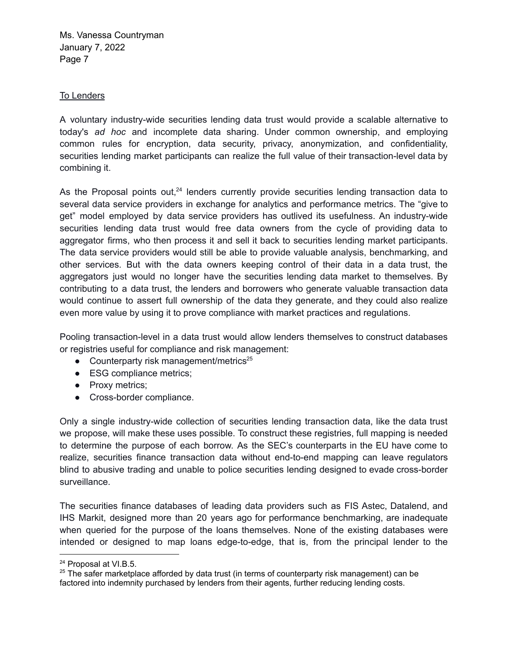#### To Lenders

A voluntary industry-wide securities lending data trust would provide a scalable alternative to today's *ad hoc* and incomplete data sharing. Under common ownership, and employing common rules for encryption, data security, privacy, anonymization, and confidentiality, securities lending market participants can realize the full value of their transaction-level data by combining it.

As the Proposal points out, $24$  lenders currently provide securities lending transaction data to several data service providers in exchange for analytics and performance metrics. The "give to get" model employed by data service providers has outlived its usefulness. An industry-wide securities lending data trust would free data owners from the cycle of providing data to aggregator firms, who then process it and sell it back to securities lending market participants. The data service providers would still be able to provide valuable analysis, benchmarking, and other services. But with the data owners keeping control of their data in a data trust, the aggregators just would no longer have the securities lending data market to themselves. By contributing to a data trust, the lenders and borrowers who generate valuable transaction data would continue to assert full ownership of the data they generate, and they could also realize even more value by using it to prove compliance with market practices and regulations.

Pooling transaction-level in a data trust would allow lenders themselves to construct databases or registries useful for compliance and risk management:

- Counterparty risk management/metrics $25$
- ESG compliance metrics;
- Proxy metrics;
- Cross-border compliance.

Only a single industry-wide collection of securities lending transaction data, like the data trust we propose, will make these uses possible. To construct these registries, full mapping is needed to determine the purpose of each borrow. As the SEC's counterparts in the EU have come to realize, securities finance transaction data without end-to-end mapping can leave regulators blind to abusive trading and unable to police securities lending designed to evade cross-border surveillance.

The securities finance databases of leading data providers such as FIS Astec, Datalend, and IHS Markit, designed more than 20 years ago for performance benchmarking, are inadequate when queried for the purpose of the loans themselves. None of the existing databases were intended or designed to map loans edge-to-edge, that is, from the principal lender to the

<sup>24</sup> Proposal at VI.B.5.

<sup>&</sup>lt;sup>25</sup> The safer marketplace afforded by data trust (in terms of counterparty risk management) can be factored into indemnity purchased by lenders from their agents, further reducing lending costs.